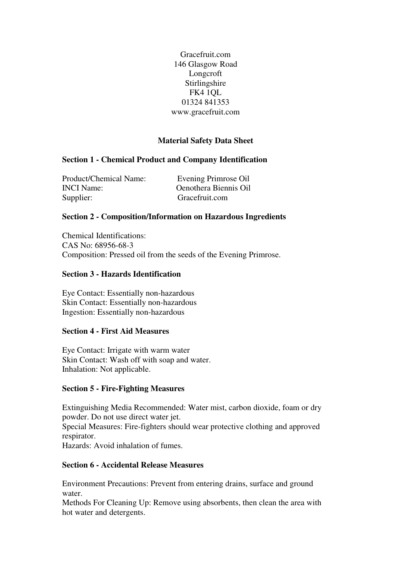Gracefruit.com 146 Glasgow Road Longcroft Stirlingshire FK4 1QL 01324 841353 www.gracefruit.com

# **Material Safety Data Sheet**

## **Section 1 - Chemical Product and Company Identification**

| <b>Product/Chemical Name:</b> | Evening Primrose Oil  |
|-------------------------------|-----------------------|
| <b>INCI</b> Name:             | Oenothera Biennis Oil |
| Supplier:                     | Gracefruit.com        |

## **Section 2 - Composition/Information on Hazardous Ingredients**

Chemical Identifications: CAS No: 68956-68-3 Composition: Pressed oil from the seeds of the Evening Primrose.

#### **Section 3 - Hazards Identification**

Eye Contact: Essentially non-hazardous Skin Contact: Essentially non-hazardous Ingestion: Essentially non-hazardous

#### **Section 4 - First Aid Measures**

Eye Contact: Irrigate with warm water Skin Contact: Wash off with soap and water. Inhalation: Not applicable.

#### **Section 5 - Fire-Fighting Measures**

Extinguishing Media Recommended: Water mist, carbon dioxide, foam or dry powder. Do not use direct water jet.

Special Measures: Fire-fighters should wear protective clothing and approved respirator.

Hazards: Avoid inhalation of fumes.

## **Section 6 - Accidental Release Measures**

Environment Precautions: Prevent from entering drains, surface and ground water.

Methods For Cleaning Up: Remove using absorbents, then clean the area with hot water and detergents.